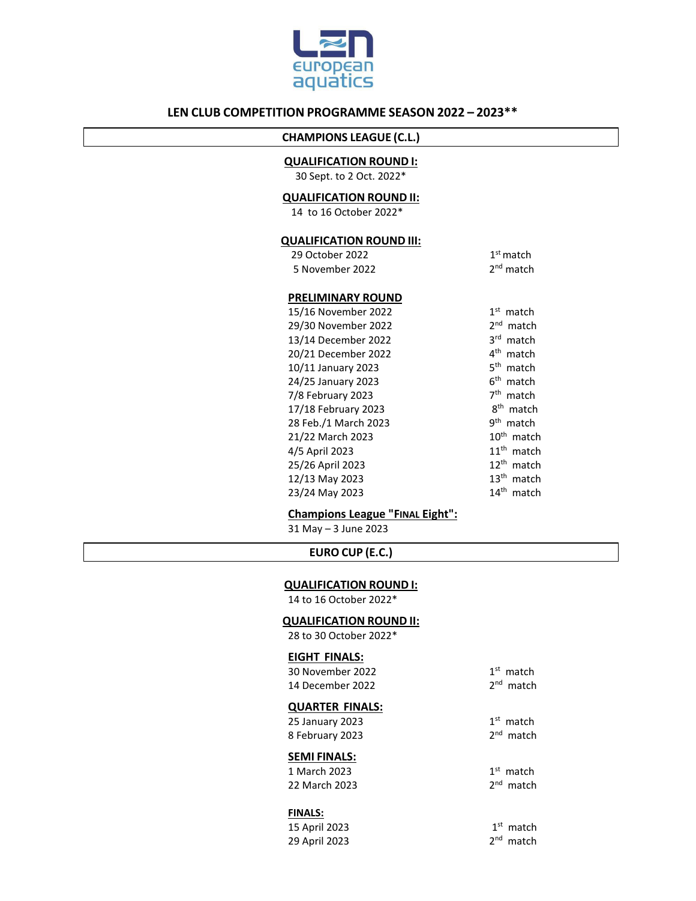

## **LEN CLUB COMPETITION PROGRAMME SEASON 2022 – 2023\*\***

# **CHAMPIONS LEAGUE (C.L.)**

#### **QUALIFICATION ROUND I:**

30 Sept. to 2 Oct. 2022\*

### **QUALIFICATION ROUND II:**

14 to 16 October 2022\*

### **QUALIFICATION ROUND III:**

| 29 October 2022 | $1st$ match           |  |
|-----------------|-----------------------|--|
| 5 November 2022 | 2 <sup>nd</sup> match |  |

#### **PRELIMINARY ROUND**

| 15/16 November 2022  | 1 <sup>st</sup><br>match  |
|----------------------|---------------------------|
| 29/30 November 2022  | 2 <sub>nd</sub><br>match  |
| 13/14 December 2022  | <b>3rd</b><br>match       |
| 20/21 December 2022  | $4^{\text{th}}$<br>match  |
| 10/11 January 2023   | 5 <sup>th</sup><br>match  |
| 24/25 January 2023   | 6 <sup>th</sup> match     |
| 7/8 February 2023    | 7 <sup>th</sup><br>match  |
| 17/18 February 2023  | 8 <sup>th</sup> match     |
| 28 Feb./1 March 2023 | gth<br>match              |
| 21/22 March 2023     | $10th$ match              |
| 4/5 April 2023       | 11 <sup>th</sup> match    |
| 25/26 April 2023     | $12th$ match              |
| 12/13 May 2023       | $13^{\text{th}}$<br>match |
| 23/24 May 2023       | 14 <sup>th</sup><br>match |

**Champions League "FINAL Eight":**

31 May – 3 June 2023

#### **EURO CUP (E.C.)**

#### **QUALIFICATION ROUND I:**

14 to 16 October 2022\*

#### **QUALIFICATION ROUND II:**

28 to 30 October 2022\*

### **EIGHT FINALS:**

| <b>SEMI FINALS:</b> |             |
|---------------------|-------------|
| 8 February 2023     | $2nd$ match |
| 25 January 2023     | $1st$ match |
| QUARTER FINALS:     |             |
| 14 December 2022    | $2nd$ match |
| 30 November 2022    | $1st$ match |
|                     |             |

| 1 March 2023  | $1st$ match |
|---------------|-------------|
| 22 March 2023 | $2nd$ match |

#### **FINALS:**

| 15 April 2023 | $1st$ match |
|---------------|-------------|
| 29 April 2023 | $2nd$ match |